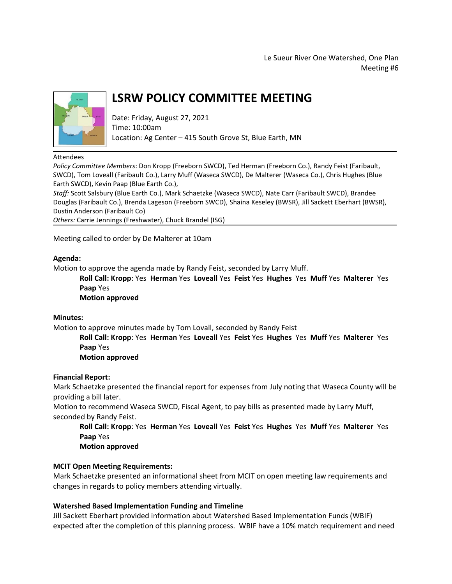Le Sueur River One Watershed, One Plan Meeting #6



# **LSRW POLICY COMMITTEE MEETING**

Date: Friday, August 27, 2021 Time: 10:00am Location: Ag Center – 415 South Grove St, Blue Earth, MN

#### Attendees

*Policy Committee Members*: Don Kropp (Freeborn SWCD), Ted Herman (Freeborn Co.), Randy Feist (Faribault, SWCD), Tom Loveall (Faribault Co.), Larry Muff (Waseca SWCD), De Malterer (Waseca Co.), Chris Hughes (Blue Earth SWCD), Kevin Paap (Blue Earth Co.),

*Staff:* Scott Salsbury (Blue Earth Co.), Mark Schaetzke (Waseca SWCD), Nate Carr (Faribault SWCD), Brandee Douglas (Faribault Co.), Brenda Lageson (Freeborn SWCD), Shaina Keseley (BWSR), Jill Sackett Eberhart (BWSR), Dustin Anderson (Faribault Co)

*Others:* Carrie Jennings (Freshwater), Chuck Brandel (ISG)

Meeting called to order by De Malterer at 10am

#### **Agenda:**

Motion to approve the agenda made by Randy Feist, seconded by Larry Muff.

**Roll Call: Kropp**: Yes **Herman** Yes **Loveall** Yes **Feist** Yes **Hughes** Yes **Muff** Yes **Malterer** Yes **Paap** Yes

**Motion approved**

#### **Minutes:**

Motion to approve minutes made by Tom Lovall, seconded by Randy Feist

**Roll Call: Kropp**: Yes **Herman** Yes **Loveall** Yes **Feist** Yes **Hughes** Yes **Muff** Yes **Malterer** Yes **Paap** Yes

**Motion approved**

#### **Financial Report:**

Mark Schaetzke presented the financial report for expenses from July noting that Waseca County will be providing a bill later.

Motion to recommend Waseca SWCD, Fiscal Agent, to pay bills as presented made by Larry Muff, seconded by Randy Feist.

**Roll Call: Kropp**: Yes **Herman** Yes **Loveall** Yes **Feist** Yes **Hughes** Yes **Muff** Yes **Malterer** Yes **Paap** Yes

**Motion approved**

## **MCIT Open Meeting Requirements:**

Mark Schaetzke presented an informational sheet from MCIT on open meeting law requirements and changes in regards to policy members attending virtually.

## **Watershed Based Implementation Funding and Timeline**

Jill Sackett Eberhart provided information about Watershed Based Implementation Funds (WBIF) expected after the completion of this planning process. WBIF have a 10% match requirement and need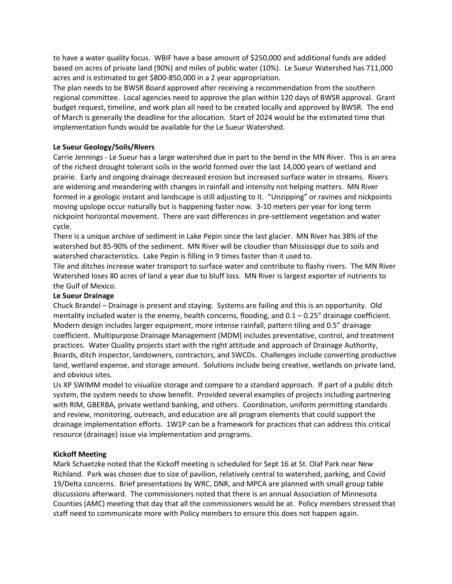to have a water quality focus. WBIF have a base amount of \$250,000 and additional funds are added based on acres of private land (90%) and miles of public water (10%). Le Sueur Watershed has 711,000 acres and is estimated to get \$800-850,000 in a 2 year appropriation.

The plan needs to be BWSR Board approved after receiving a recommendation from the southern regional committee. Local agencies need to approve the plan within 120 days of BWSR approval. Grant budget request, timeline, and work plan all need to be created locally and approved by BWSR. The end of March is generally the deadline for the allocation. Start of 2024 would be the estimated time that implementation funds would be available for the Le Sueur Watershed.

## **Le Sueur Geology/Soils/Rivers**

Carrie Jennings - Le Sueur has a large watershed due in part to the bend in the MN River. This is an area of the richest drought tolerant soils in the world formed over the last 14,000 years of wetland and prairie. Early and ongoing drainage decreased erosion but increased surface water in streams. Rivers are widening and meandering with changes in rainfall and intensity not helping matters. MN River formed in a geologic instant and landscape is still adjusting to it. "Unzipping" or ravines and nickpoints moving upslope occur naturally but is happening faster now. 3-10 meters per year for long term nickpoint horizontal movement. There are vast differences in pre-settlement vegetation and water cycle.

There is a unique archive of sediment in Lake Pepin since the last glacier. MN River has 38% of the watershed but 85-90% of the sediment. MN River will be cloudier than Mississippi due to soils and watershed characteristics. Lake Pepin is filling in 9 times faster than it used to.

Tile and ditches increase water transport to surface water and contribute to flashy rivers. The MN River Watershed loses 80 acres of land a year due to bluff loss. MN River is largest exporter of nutrients to the Gulf of Mexico.

## **Le Sueur Drainage**

Chuck Brandel – Drainage is present and staying. Systems are failing and this is an opportunity. Old mentality included water is the enemy, health concerns, flooding, and  $0.1 - 0.25$ " drainage coefficient. Modern design includes larger equipment, more intense rainfall, pattern tiling and 0.5" drainage coefficient. Multipurpose Drainage Management (MDM) includes preventative, control, and treatment practices. Water Quality projects start with the right attitude and approach of Drainage Authority, Boards, ditch inspector, landowners, contractors, and SWCDs. Challenges include converting productive land, wetland expense, and storage amount. Solutions include being creative, wetlands on private land, and obvious sites.

Us XP SWIMM model to visualize storage and compare to a standard approach. If part of a public ditch system, the system needs to show benefit. Provided several examples of projects including partnering with RIM, GBERBA, private wetland banking, and others. Coordination, uniform permitting standards and review, monitoring, outreach, and education are all program elements that could support the drainage implementation efforts. 1W1P can be a framework for practices that can address this critical resource (drainage) issue via implementation and programs.

## **Kickoff Meeting**

Mark Schaetzke noted that the Kickoff meeting is scheduled for Sept 16 at St. Olaf Park near New Richland. Park was chosen due to size of pavilion, relatively central to watershed, parking, and Covid 19/Delta concerns. Brief presentations by WRC, DNR, and MPCA are planned with small group table discussions afterward. The commissioners noted that there is an annual Association of Minnesota Counties (AMC) meeting that day that all the commissioners would be at. Policy members stressed that staff need to communicate more with Policy members to ensure this does not happen again.